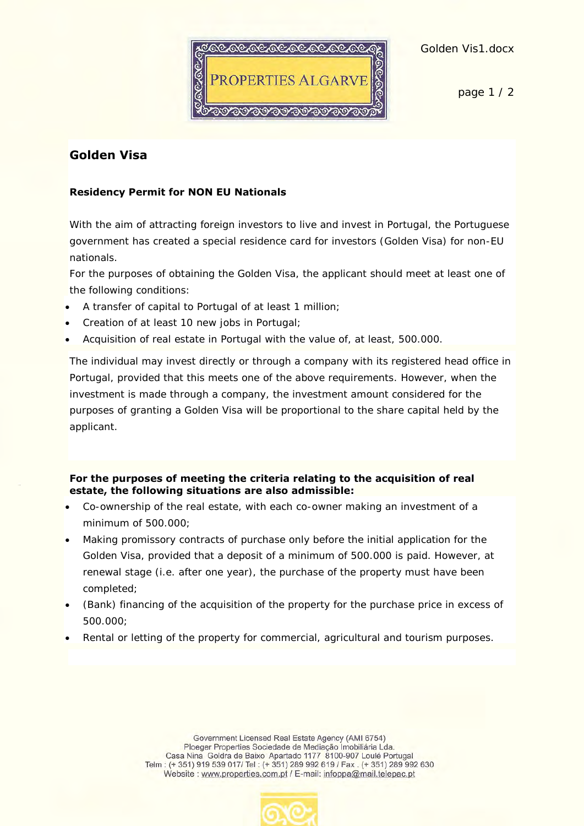

page 1 / 2

## **Golden Visa**

## **Residency Permit for NON EU Nationals**

With the aim of attracting foreign investors to live and invest in Portugal, the Portuguese government has created a special residence card for investors (Golden Visa) for non-EU nationals.

For the purposes of obtaining the Golden Visa, the applicant should meet at least one of the following conditions:

- A transfer of capital to Portugal of at least 1 million;
- Creation of at least 10 new jobs in Portugal;
- Acquisition of real estate in Portugal with the value of, at least, 500.000.

The individual may invest directly or through a company with its registered head office in Portugal, provided that this meets one of the above requirements. However, when the investment is made through a company, the investment amount considered for the purposes of granting a Golden Visa will be proportional to the share capital held by the applicant.

## **For the purposes of meeting the criteria relating to the acquisition of real estate, the following situations are also admissible:**

- Co-ownership of the real estate, with each co-owner making an investment of a minimum of 500.000;
- Making promissory contracts of purchase only before the initial application for the Golden Visa, provided that a deposit of a minimum of 500.000 is paid. However, at renewal stage (i.e. after one year), the purchase of the property must have been completed;
- (Bank) financing of the acquisition of the property for the purchase price in excess of 500.000;
- Rental or letting of the property for commercial, agricultural and tourism purposes.

Government Licensed Real Estate Agency (AMI 6754) Ploeger Properties Sociedade de Mediação Imobiliária Lda. Casa Nina Goldra de Baixo Apartado 1177 8100-907 Loulé Portugal Telm: (+351) 919 539 017/ Tel: (+351) 289 992 619 / Fax. (+351) 289 992 630 Website: www.properties.com.pt / E-mail: infoppa@mail.telepac.pt